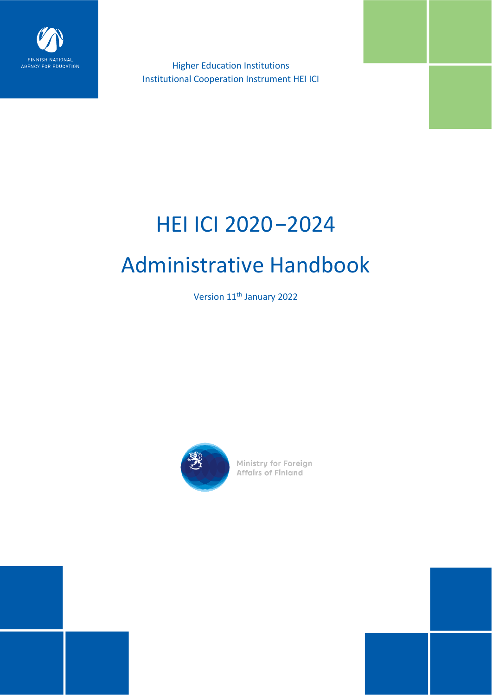

Higher Education Institutions Institutional Cooperation Instrument HEI ICI

# HEI ICI 2020−2024 Administrative Handbook

Version 11<sup>th</sup> January 2022



**Ministry for Foreign<br>Affairs of Finland**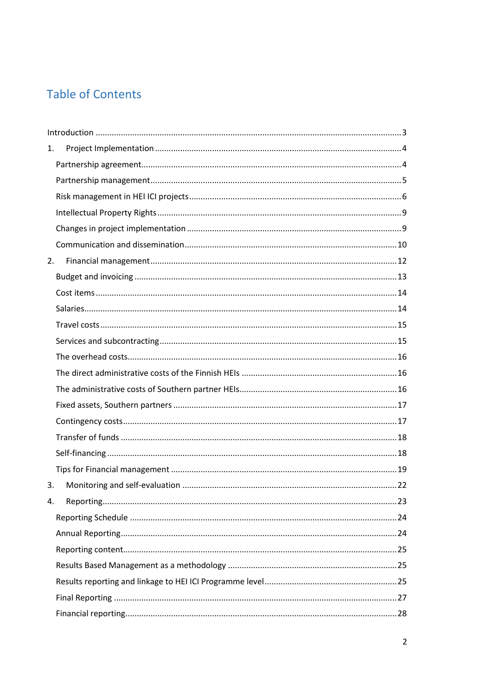# **Table of Contents**

| 1. |  |
|----|--|
|    |  |
|    |  |
|    |  |
|    |  |
|    |  |
|    |  |
| 2. |  |
|    |  |
|    |  |
|    |  |
|    |  |
|    |  |
|    |  |
|    |  |
|    |  |
|    |  |
|    |  |
|    |  |
|    |  |
|    |  |
| 3. |  |
| 4. |  |
|    |  |
|    |  |
|    |  |
|    |  |
|    |  |
|    |  |
|    |  |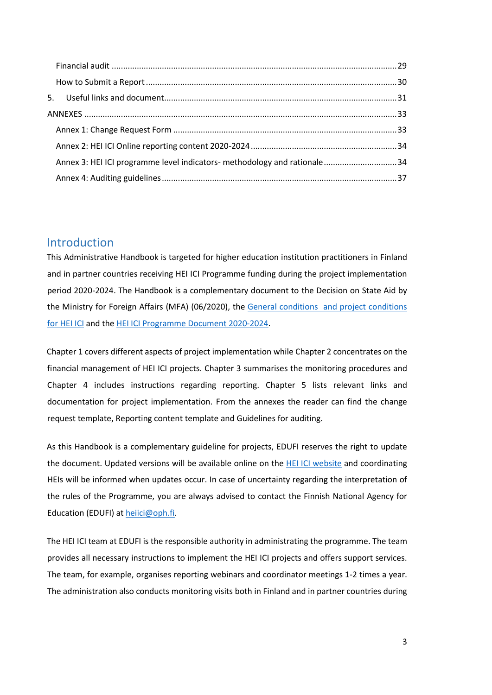| Annex 3: HEI ICI programme level indicators- methodology and rationale34 |  |
|--------------------------------------------------------------------------|--|
|                                                                          |  |

# <span id="page-2-0"></span>Introduction

This Administrative Handbook is targeted for higher education institution practitioners in Finland and in partner countries receiving HEI ICI Programme funding during the project implementation period 2020-2024. The Handbook is a complementary document to the Decision on State Aid by the Ministry for Foreign Affairs (MFA) [\(0](http://www.cimo.fi/instancedata/prime_product_julkaisu/cimo/embeds/cimowwwstructure/111012_Yleisehdot_ja_hanketuen_lisaehdot_ENGLISH-HEI_ICI2016.pdf)6/202[0\),](http://www.cimo.fi/instancedata/prime_product_julkaisu/cimo/embeds/cimowwwstructure/111012_Yleisehdot_ja_hanketuen_lisaehdot_ENGLISH-HEI_ICI2016.pdf) the [General conditions and project conditions](https://www.oph.fi/sites/default/files/documents/liite-2.-general-conditions-and-project-conditions-for-hei-ici-2020.pdf)  [for HEI ICI](https://www.oph.fi/sites/default/files/documents/liite-2.-general-conditions-and-project-conditions-for-hei-ici-2020.pdf) and the [HEI ICI Programme Document](https://www.oph.fi/sites/default/files/documents/hei-ici_programme_document_2020-24_final_002__0.pdf) 2020-2024.

Chapter 1 covers different aspects of project implementation while Chapter 2 concentrates on the financial management of HEI ICI projects. Chapter 3 summarises the monitoring procedures and Chapter 4 includes instructions regarding reporting. Chapter 5 lists relevant links and documentation for project implementation. From the annexes the reader can find the change request template, Reporting content template and Guidelines for auditing.

As this Handbook is a complementary guideline for projects, EDUFI reserves the right to update the document. Updated versions will be available online on the [HEI ICI website](https://www.oph.fi/en/programmes/hei-ici-programme) and coordinating HEIs will be informed when updates occur. In case of uncertainty regarding the interpretation of the rules of the Programme, you are always advised to contact the Finnish National Agency for Education (EDUFI) at heiici@oph.fi.

The HEI ICI team at EDUFI is the responsible authority in administrating the programme. The team provides all necessary instructions to implement the HEI ICI projects and offers support services. The team, for example, organises reporting webinars and coordinator meetings 1-2 times a year. The administration also conducts monitoring visits both in Finland and in partner countries during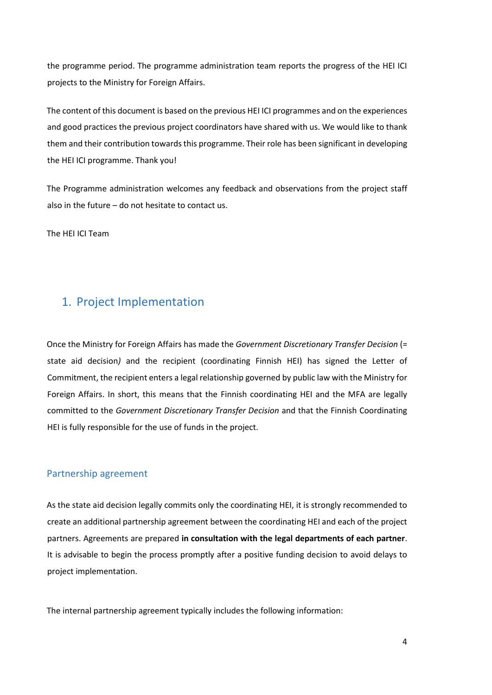the programme period. The programme administration team reports the progress of the HEI ICI projects to the Ministry for Foreign Affairs.

The content of this document is based on the previous HEI ICI programmes and on the experiences and good practices the previous project coordinators have shared with us. We would like to thank them and their contribution towards this programme. Their role has been significant in developing the HEI ICI programme. Thank you!

The Programme administration welcomes any feedback and observations from the project staff also in the future – do not hesitate to contact us.

The HEI ICI Team

# <span id="page-3-0"></span>1. Project Implementation

Once the Ministry for Foreign Affairs has made the *Government Discretionary Transfer Decision* (= state aid decision*)* and the recipient (coordinating Finnish HEI) has signed the Letter of Commitment, the recipient enters a legal relationship governed by public law with the Ministry for Foreign Affairs. In short, this means that the Finnish coordinating HEI and the MFA are legally committed to the *Government Discretionary Transfer Decision* and that the Finnish Coordinating HEI is fully responsible for the use of funds in the project.

#### <span id="page-3-1"></span>Partnership agreement

As the state aid decision legally commits only the coordinating HEI, it is strongly recommended to create an additional partnership agreement between the coordinating HEI and each of the project partners. Agreements are prepared **in consultation with the legal departments of each partner**. It is advisable to begin the process promptly after a positive funding decision to avoid delays to project implementation.

The internal partnership agreement typically includes the following information: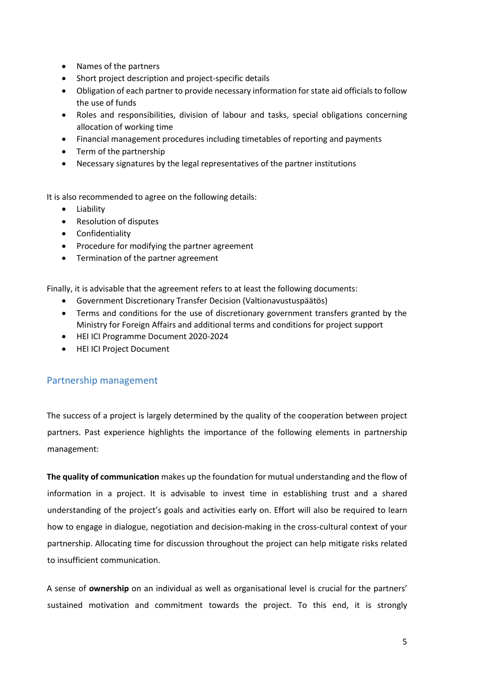- Names of the partners
- Short project description and project-specific details
- Obligation of each partner to provide necessary information for state aid officials to follow the use of funds
- Roles and responsibilities, division of labour and tasks, special obligations concerning allocation of working time
- Financial management procedures including timetables of reporting and payments
- Term of the partnership
- Necessary signatures by the legal representatives of the partner institutions

It is also recommended to agree on the following details:

- Liability
- Resolution of disputes
- Confidentiality
- Procedure for modifying the partner agreement
- Termination of the partner agreement

Finally, it is advisable that the agreement refers to at least the following documents:

- Government Discretionary Transfer Decision (Valtionavustuspäätös)
- Terms and conditions for the use of discretionary government transfers granted by the Ministry for Foreign Affairs and additional terms and conditions for project support
- HEI ICI Programme Document 2020-2024
- HEI ICI Project Document

## <span id="page-4-0"></span>Partnership management

The success of a project is largely determined by the quality of the cooperation between project partners. Past experience highlights the importance of the following elements in partnership management:

**The quality of communication** makes up the foundation for mutual understanding and the flow of information in a project. It is advisable to invest time in establishing trust and a shared understanding of the project's goals and activities early on. Effort will also be required to learn how to engage in dialogue, negotiation and decision-making in the cross-cultural context of your partnership. Allocating time for discussion throughout the project can help mitigate risks related to insufficient communication.

A sense of **ownership** on an individual as well as organisational level is crucial for the partners' sustained motivation and commitment towards the project. To this end, it is strongly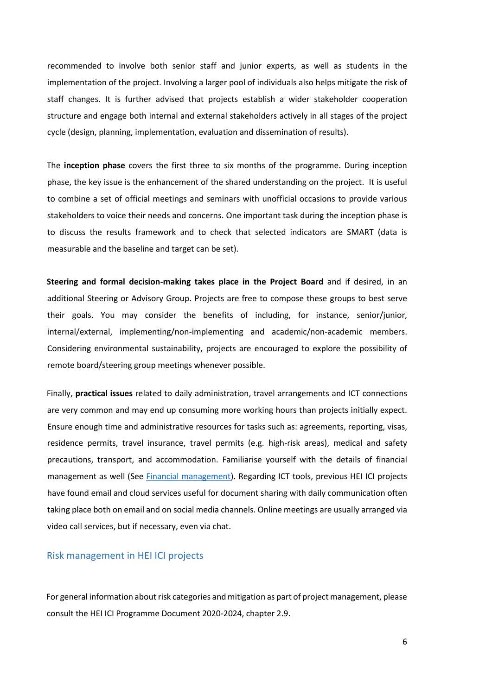recommended to involve both senior staff and junior experts, as well as students in the implementation of the project. Involving a larger pool of individuals also helps mitigate the risk of staff changes. It is further advised that projects establish a wider stakeholder cooperation structure and engage both internal and external stakeholders actively in all stages of the project cycle (design, planning, implementation, evaluation and dissemination of results).

The **inception phase** covers the first three to six months of the programme. During inception phase, the key issue is the enhancement of the shared understanding on the project. It is useful to combine a set of official meetings and seminars with unofficial occasions to provide various stakeholders to voice their needs and concerns. One important task during the inception phase is to discuss the results framework and to check that selected indicators are SMART (data is measurable and the baseline and target can be set).

**Steering and formal decision-making takes place in the Project Board** and if desired, in an additional Steering or Advisory Group. Projects are free to compose these groups to best serve their goals. You may consider the benefits of including, for instance, senior/junior, internal/external, implementing/non-implementing and academic/non-academic members. Considering environmental sustainability, projects are encouraged to explore the possibility of remote board/steering group meetings whenever possible.

Finally, **practical issues** related to daily administration, travel arrangements and ICT connections are very common and may end up consuming more working hours than projects initially expect. Ensure enough time and administrative resources for tasks such as: agreements, reporting, visas, residence permits, travel insurance, travel permits (e.g. high-risk areas), medical and safety precautions, transport, and accommodation. Familiarise yourself with the details of financial management as well (See [Financial management\)](#page-11-0). Regarding ICT tools, previous HEI ICI projects have found email and cloud services useful for document sharing with daily communication often taking place both on email and on social media channels. Online meetings are usually arranged via video call services, but if necessary, even via chat.

#### <span id="page-5-0"></span>Risk management in HEI ICI projects

For general information about risk categories and mitigation as part of project management, please consult the HEI ICI Programme Document 2020-2024, chapter 2.9.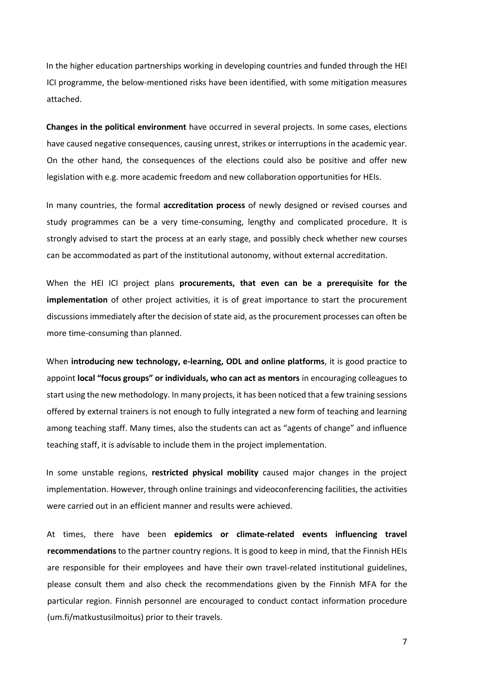In the higher education partnerships working in developing countries and funded through the HEI ICI programme, the below-mentioned risks have been identified, with some mitigation measures attached.

**Changes in the political environment** have occurred in several projects. In some cases, elections have caused negative consequences, causing unrest, strikes or interruptions in the academic year. On the other hand, the consequences of the elections could also be positive and offer new legislation with e.g. more academic freedom and new collaboration opportunities for HEIs.

In many countries, the formal **accreditation process** of newly designed or revised courses and study programmes can be a very time-consuming, lengthy and complicated procedure. It is strongly advised to start the process at an early stage, and possibly check whether new courses can be accommodated as part of the institutional autonomy, without external accreditation.

When the HEI ICI project plans **procurements, that even can be a prerequisite for the implementation** of other project activities, it is of great importance to start the procurement discussions immediately after the decision of state aid, as the procurement processes can often be more time-consuming than planned.

When **introducing new technology, e-learning, ODL and online platforms**, it is good practice to appoint **local "focus groups" or individuals, who can act as mentors** in encouraging colleagues to start using the new methodology. In many projects, it has been noticed that a few training sessions offered by external trainers is not enough to fully integrated a new form of teaching and learning among teaching staff. Many times, also the students can act as "agents of change" and influence teaching staff, it is advisable to include them in the project implementation.

In some unstable regions, **restricted physical mobility** caused major changes in the project implementation. However, through online trainings and videoconferencing facilities, the activities were carried out in an efficient manner and results were achieved.

At times, there have been **epidemics or climate-related events influencing travel recommendations** to the partner country regions. It is good to keep in mind, that the Finnish HEIs are responsible for their employees and have their own travel-related institutional guidelines, please consult them and also check the recommendations given by the Finnish MFA for the particular region. Finnish personnel are encouraged to conduct contact information procedure (um.fi/matkustusilmoitus) prior to their travels.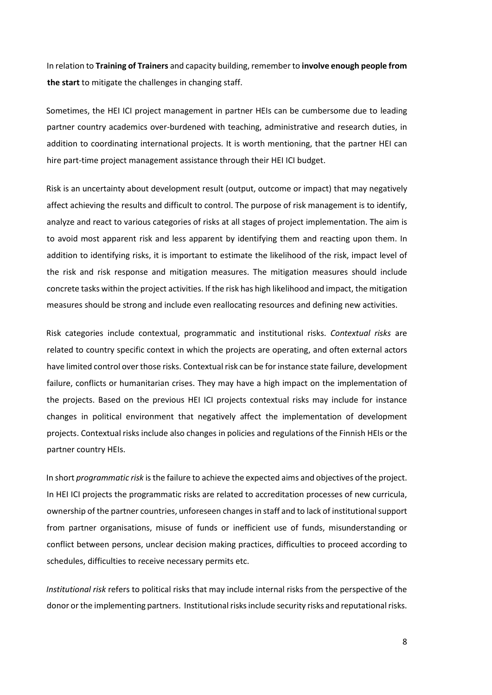In relation to **Training of Trainers** and capacity building, remember to **involve enough people from the start** to mitigate the challenges in changing staff.

Sometimes, the HEI ICI project management in partner HEIs can be cumbersome due to leading partner country academics over-burdened with teaching, administrative and research duties, in addition to coordinating international projects. It is worth mentioning, that the partner HEI can hire part-time project management assistance through their HEI ICI budget.

Risk is an uncertainty about development result (output, outcome or impact) that may negatively affect achieving the results and difficult to control. The purpose of risk management is to identify, analyze and react to various categories of risks at all stages of project implementation. The aim is to avoid most apparent risk and less apparent by identifying them and reacting upon them. In addition to identifying risks, it is important to estimate the likelihood of the risk, impact level of the risk and risk response and mitigation measures. The mitigation measures should include concrete tasks within the project activities. If the risk has high likelihood and impact, the mitigation measures should be strong and include even reallocating resources and defining new activities.

Risk categories include contextual, programmatic and institutional risks. *Contextual risks* are related to country specific context in which the projects are operating, and often external actors have limited control over those risks. Contextual risk can be for instance state failure, development failure, conflicts or humanitarian crises. They may have a high impact on the implementation of the projects. Based on the previous HEI ICI projects contextual risks may include for instance changes in political environment that negatively affect the implementation of development projects. Contextual risks include also changes in policies and regulations of the Finnish HEIs or the partner country HEIs.

In short *programmatic risk* is the failure to achieve the expected aims and objectives of the project. In HEI ICI projects the programmatic risks are related to accreditation processes of new curricula, ownership of the partner countries, unforeseen changes in staff and to lack of institutional support from partner organisations, misuse of funds or inefficient use of funds, misunderstanding or conflict between persons, unclear decision making practices, difficulties to proceed according to schedules, difficulties to receive necessary permits etc.

*Institutional risk* refers to political risks that may include internal risks from the perspective of the donor or the implementing partners. Institutional risks include security risks and reputational risks.

8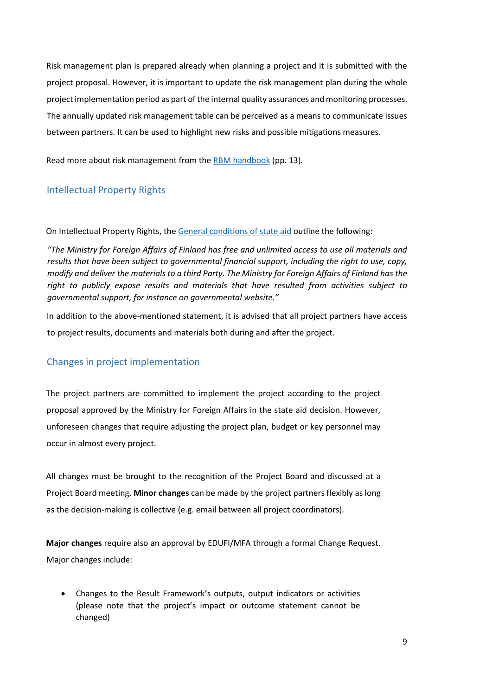Risk management plan is prepared already when planning a project and it is submitted with the project proposal. However, it is important to update the risk management plan during the whole project implementation period as part of the internal quality assurances and monitoring processes. The annually updated risk management table can be perceived as a means to communicate issues between partners. It can be used to highlight new risks and possible mitigations measures.

Read more about risk management from the [RBM handbook](https://um.fi/documents/35732/48132/results_based_management_rbm_in_finland%E2%80%99s_development_cooperation.pdf/b162ca1f-60f0-d07a-97f2-c86083343a8f?t=1560452756980) (pp. 13).

# <span id="page-8-0"></span>Intellectual Property Rights

On Intellectual Property Rights, th[e General conditions of state aid](https://www.oph.fi/sites/default/files/documents/liite-2.-general-conditions-and-project-conditions-for-hei-ici-2020.pdf) outline the following:

*"The Ministry for Foreign Affairs of Finland has free and unlimited access to use all materials and results that have been subject to governmental financial support, including the right to use, copy, modify and deliver the materials to a third Party. The Ministry for Foreign Affairs of Finland has the right to publicly expose results and materials that have resulted from activities subject to governmental support, for instance on governmental website."* 

In addition to the above-mentioned statement, it is advised that all project partners have access to project results, documents and materials both during and after the project.

## <span id="page-8-1"></span>Changes in project implementation

The project partners are committed to implement the project according to the project proposal approved by the Ministry for Foreign Affairs in the state aid decision. However, unforeseen changes that require adjusting the project plan, budget or key personnel may occur in almost every project.

All changes must be brought to the recognition of the Project Board and discussed at a Project Board meeting. **Minor changes** can be made by the project partners flexibly as long as the decision-making is collective (e.g. email between all project coordinators).

**Major changes** require also an approval by EDUFI/MFA through a formal Change Request. Major changes include:

• Changes to the Result Framework's outputs, output indicators or activities (please note that the project's impact or outcome statement cannot be changed)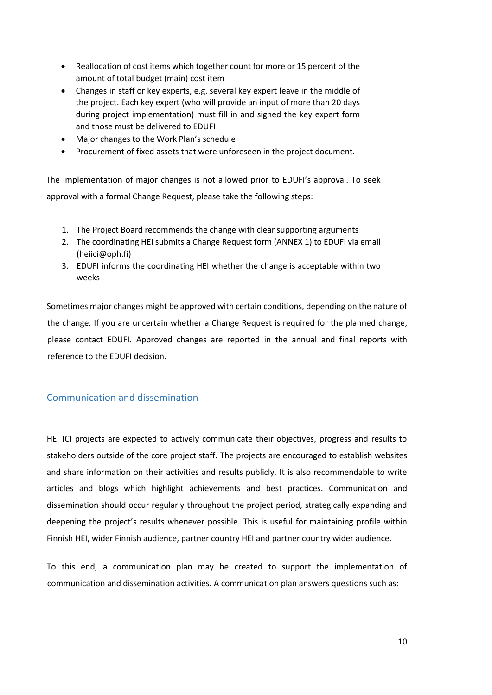- Reallocation of cost items which together count for more or 15 percent of the amount of total budget (main) cost item
- Changes in staff or key experts, e.g. several key expert leave in the middle of the project. Each key expert (who will provide an input of more than 20 days during project implementation) must fill in and signed the key expert form and those must be delivered to EDUFI
- Major changes to the Work Plan's schedule
- Procurement of fixed assets that were unforeseen in the project document.

The implementation of major changes is not allowed prior to EDUFI's approval. To seek approval with a formal Change Request, please take the following steps:

- 1. The Project Board recommends the change with clear supporting arguments
- 2. The coordinating HEI submits a Change Request form (ANNEX 1) to EDUFI via email (heiici@oph.fi)
- 3. EDUFI informs the coordinating HEI whether the change is acceptable within two weeks

Sometimes major changes might be approved with certain conditions, depending on the nature of the change. If you are uncertain whether a Change Request is required for the planned change, please contact EDUFI. Approved changes are reported in the annual and final reports with reference to the EDUFI decision.

## <span id="page-9-0"></span>Communication and dissemination

HEI ICI projects are expected to actively communicate their objectives, progress and results to stakeholders outside of the core project staff. The projects are encouraged to establish websites and share information on their activities and results publicly. It is also recommendable to write articles and blogs which highlight achievements and best practices. Communication and dissemination should occur regularly throughout the project period, strategically expanding and deepening the project's results whenever possible. This is useful for maintaining profile within Finnish HEI, wider Finnish audience, partner country HEI and partner country wider audience.

To this end, a communication plan may be created to support the implementation of communication and dissemination activities. A communication plan answers questions such as: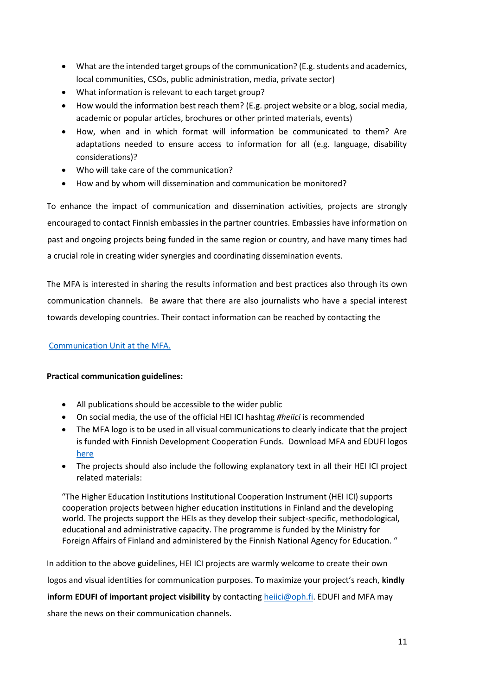- What are the intended target groups of the communication? (E.g. students and academics, local communities, CSOs, public administration, media, private sector)
- What information is relevant to each target group?
- How would the information best reach them? (E.g. project website or a blog, social media, academic or popular articles, brochures or other printed materials, events)
- How, when and in which format will information be communicated to them? Are adaptations needed to ensure access to information for all (e.g. language, disability considerations)?
- Who will take care of the communication?
- How and by whom will dissemination and communication be monitored?

To enhance the impact of communication and dissemination activities, projects are strongly encouraged to contact Finnish embassies in the partner countries. Embassies have information on past and ongoing projects being funded in the same region or country, and have many times had a crucial role in creating wider synergies and coordinating dissemination events.

The MFA is interested in sharing the results information and best practices also through its own communication channels. Be aware that there are also journalists who have a special interest towards developing countries. Their contact information can be reached by contacting the

# [Communication Unit at the](https://um.fi/kehitysviestinnan-yksikko) MFA.

## **Practical communication guidelines:**

- All publications should be accessible to the wider public
- On social media, the use of the official HEI ICI hashtag *#heiici* is recommended
- The MFA logo is to be used in all visual communications to clearly indicate that the project is funded with Finnish Development Cooperation Funds. Download MFA and EDUFI logos [here](https://laatikko.oph.fi/s/s672QmD3jeSiorD)
- The projects should also include the following explanatory text in all their HEI ICI project related materials:

"The Higher Education Institutions Institutional Cooperation Instrument (HEI ICI) supports cooperation projects between higher education institutions in Finland and the developing world. The projects support the HEIs as they develop their subject-specific, methodological, educational and administrative capacity. The programme is funded by the Ministry for Foreign Affairs of Finland and administered by the Finnish National Agency for Education. "

In addition to the above guidelines, HEI ICI projects are warmly welcome to create their own logos and visual identities for communication purposes. To maximize your project's reach, **kindly inform EDUFI of important project visibility** by contactin[g heiici@oph.fi.](mailto:heiici@oph.fi) EDUFI and MFA may share the news on their communication channels.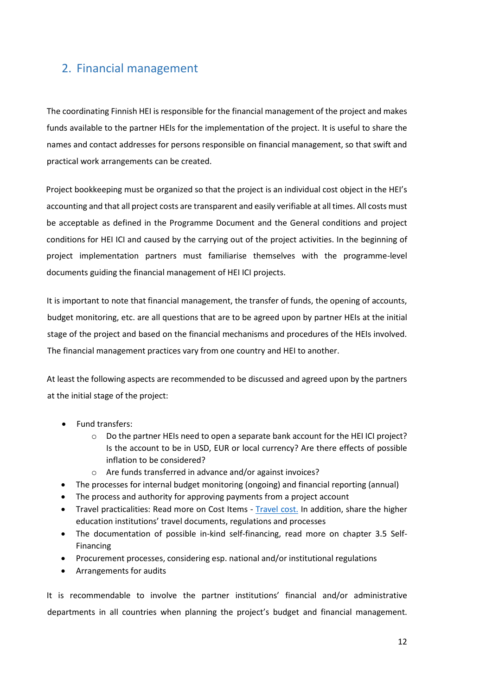# <span id="page-11-0"></span>2. Financial management

The coordinating Finnish HEI is responsible for the financial management of the project and makes funds available to the partner HEIs for the implementation of the project. It is useful to share the names and contact addresses for persons responsible on financial management, so that swift and practical work arrangements can be created.

Project bookkeeping must be organized so that the project is an individual cost object in the HEI's accounting and that all project costs are transparent and easily verifiable at all times. All costs must be acceptable as defined in the Programme Document and the General conditions and project conditions for HEI ICI and caused by the carrying out of the project activities. In the beginning of project implementation partners must familiarise themselves with the programme-level documents guiding the financial management of HEI ICI projects.

It is important to note that financial management, the transfer of funds, the opening of accounts, budget monitoring, etc. are all questions that are to be agreed upon by partner HEIs at the initial stage of the project and based on the financial mechanisms and procedures of the HEIs involved. The financial management practices vary from one country and HEI to another.

At least the following aspects are recommended to be discussed and agreed upon by the partners at the initial stage of the project:

- Fund transfers:
	- $\circ$  Do the partner HEIs need to open a separate bank account for the HEI ICI project? Is the account to be in USD, EUR or local currency? Are there effects of possible inflation to be considered?
	- o Are funds transferred in advance and/or against invoices?
- The processes for internal budget monitoring (ongoing) and financial reporting (annual)
- The process and authority for approving payments from a project account
- Travel practicalities: Read more on Cost Items [Travel cost.](#page-13-0) In addition, share the higher education institutions' travel documents, regulations and processes
- The documentation of possible in-kind self-financing, read more on chapter 3.5 Self-Financing
- Procurement processes, considering esp. national and/or institutional regulations
- Arrangements for audits

It is recommendable to involve the partner institutions' financial and/or administrative departments in all countries when planning the project's budget and financial management.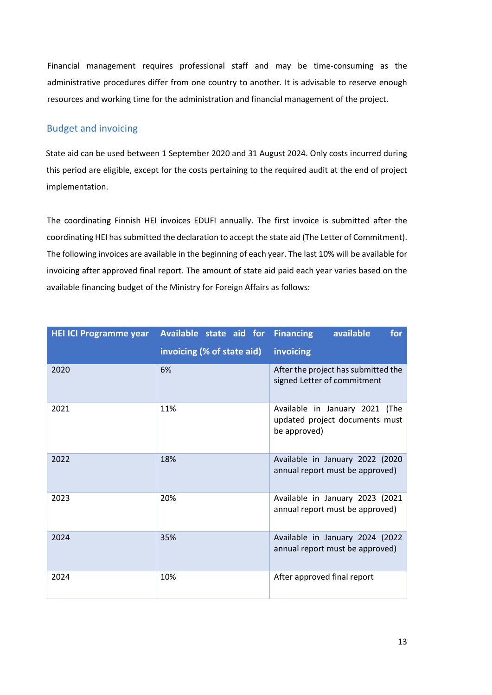Financial management requires professional staff and may be time-consuming as the administrative procedures differ from one country to another. It is advisable to reserve enough resources and working time for the administration and financial management of the project.

# <span id="page-12-0"></span>Budget and invoicing

State aid can be used between 1 September 2020 and 31 August 2024. Only costs incurred during this period are eligible, except for the costs pertaining to the required audit at the end of project implementation.

The coordinating Finnish HEI invoices EDUFI annually. The first invoice is submitted after the coordinating HEI has submitted the declaration to accept the state aid (The Letter of Commitment). The following invoices are available in the beginning of each year. The last 10% will be available for invoicing after approved final report. The amount of state aid paid each year varies based on the available financing budget of the Ministry for Foreign Affairs as follows:

| <b>HEI ICI Programme year</b> | Available state aid for Financing | available<br>for                                                                 |
|-------------------------------|-----------------------------------|----------------------------------------------------------------------------------|
|                               | invoicing (% of state aid)        | invoicing                                                                        |
| 2020                          | 6%                                | After the project has submitted the<br>signed Letter of commitment               |
| 2021                          | 11%                               | Available in January 2021 (The<br>updated project documents must<br>be approved) |
| 2022                          | 18%                               | Available in January 2022 (2020<br>annual report must be approved)               |
| 2023                          | 20%                               | Available in January 2023 (2021<br>annual report must be approved)               |
| 2024                          | 35%                               | Available in January 2024 (2022<br>annual report must be approved)               |
| 2024                          | 10%                               | After approved final report                                                      |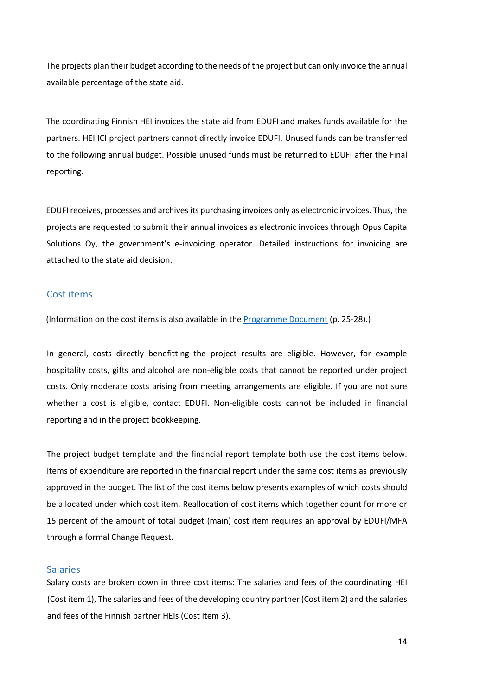The projects plan their budget according to the needs of the project but can only invoice the annual available percentage of the state aid.

The coordinating Finnish HEI invoices the state aid from EDUFI and makes funds available for the partners. HEI ICI project partners cannot directly invoice EDUFI. Unused funds can be transferred to the following annual budget. Possible unused funds must be returned to EDUFI after the Final reporting.

EDUFI receives, processes and archives its purchasing invoices only as electronic invoices. Thus, the projects are requested to submit their annual invoices as electronic invoices through Opus Capita Solutions Oy, the government's e-invoicing operator. Detailed instructions for invoicing are attached to the state aid decision.

#### <span id="page-13-0"></span>Cost items

(Information on the cost items is also available in th[e Programme Document](https://www.oph.fi/sites/default/files/documents/hei-ici_programme_document_2020-24_final_002__0.pdf) (p. 25-28).)

In general, costs directly benefitting the project results are eligible. However, for example hospitality costs, gifts and alcohol are non-eligible costs that cannot be reported under project costs. Only moderate costs arising from meeting arrangements are eligible. If you are not sure whether a cost is eligible, contact EDUFI. Non-eligible costs cannot be included in financial reporting and in the project bookkeeping.

The project budget template and the financial report template both use the cost items below. Items of expenditure are reported in the financial report under the same cost items as previously approved in the budget. The list of the cost items below presents examples of which costs should be allocated under which cost item. Reallocation of cost items which together count for more or 15 percent of the amount of total budget (main) cost item requires an approval by EDUFI/MFA through a formal Change Request.

#### <span id="page-13-1"></span>Salaries

Salary costs are broken down in three cost items: The salaries and fees of the coordinating HEI (Cost item 1), The salaries and fees of the developing country partner (Cost item 2) and the salaries and fees of the Finnish partner HEIs (Cost Item 3).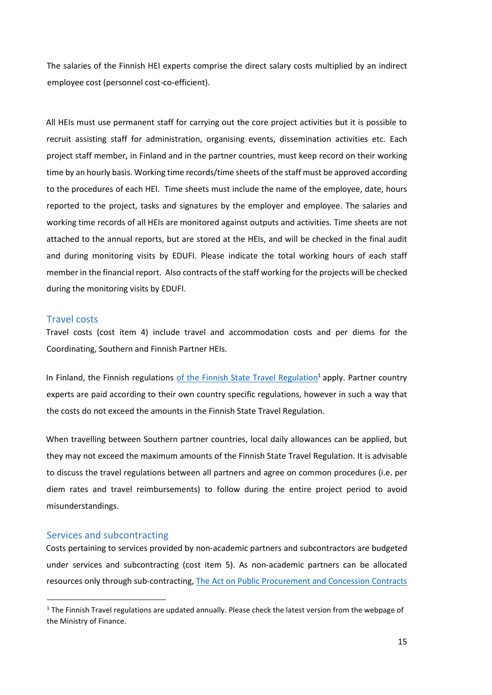The salaries of the Finnish HEI experts comprise the direct salary costs multiplied by an indirect employee cost (personnel cost-co-efficient).

All HEIs must use permanent staff for carrying out the core project activities but it is possible to recruit assisting staff for administration, organising events, dissemination activities etc. Each project staff member, in Finland and in the partner countries, must keep record on their working time by an hourly basis. Working time records/time sheets of the staff must be approved according to the procedures of each HEI. Time sheets must include the name of the employee, date, hours reported to the project, tasks and signatures by the employer and employee. The salaries and working time records of all HEIs are monitored against outputs and activities. Time sheets are not attached to the annual reports, but are stored at the HEIs, and will be checked in the final audit and during monitoring visits by EDUFI. Please indicate the total working hours of each staff member in the financial report. Also contracts of the staff working for the projects will be checked during the monitoring visits by EDUFI.

#### <span id="page-14-0"></span>Travel costs

Travel costs (cost item 4) include travel and accommodation costs and per diems for the Coordinating, Southern and Finnish Partner HEIs.

In Finland, the Finnish regulations [of the Finnish State Travel Regulation](https://julkaisut.valtioneuvosto.fi/bitstream/handle/10024/161981/VM_2020_1.pdf?sequence=1&isAllowed=y)<sup>1</sup> apply. Partner country experts are paid according to their own country specific regulations, however in such a way that the costs do not exceed the amounts in the Finnish State Travel Regulation.

When travelling between Southern partner countries, local daily allowances can be applied, but they may not exceed the maximum amounts of the Finnish State Travel Regulation. It is advisable to discuss the travel regulations between all partners and agree on common procedures (i.e. per diem rates and travel reimbursements) to follow during the entire project period to avoid misunderstandings.

#### <span id="page-14-1"></span>Services and subcontracting

Costs pertaining to services provided by non-academic partners and subcontractors are budgeted under services and subcontracting (cost item 5). As non-academic partners can be allocated resources only through sub-contracting, [The Act on Public Procurement and Concession Contracts](https://www.finlex.fi/en/laki/kaannokset/2016/en20161397) 

 $1$  The Finnish Travel regulations are updated annually. Please check the latest version from the webpage of the Ministry of Finance.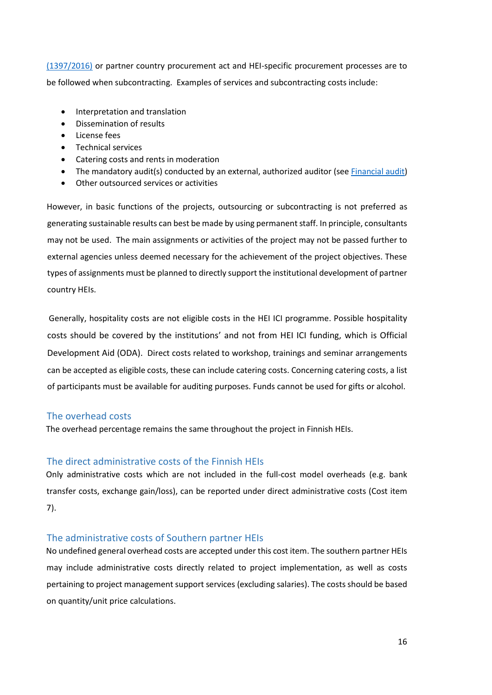[\(1397/2016\)](https://www.finlex.fi/en/laki/kaannokset/2016/en20161397) or partner country procurement act and HEI-specific procurement processes are to be followed when subcontracting. Examples of services and subcontracting costs include:

- Interpretation and translation
- Dissemination of results
- License fees
- Technical services
- Catering costs and rents in moderation
- The mandatory audit(s) conducted by an external, authorized auditor (see **Financial audit**)
- Other outsourced services or activities

However, in basic functions of the projects, outsourcing or subcontracting is not preferred as generating sustainable results can best be made by using permanent staff. In principle, consultants may not be used. The main assignments or activities of the project may not be passed further to external agencies unless deemed necessary for the achievement of the project objectives. These types of assignments must be planned to directly support the institutional development of partner country HEIs.

Generally, hospitality costs are not eligible costs in the HEI ICI programme. Possible hospitality costs should be covered by the institutions' and not from HEI ICI funding, which is Official Development Aid (ODA). Direct costs related to workshop, trainings and seminar arrangements can be accepted as eligible costs, these can include catering costs. Concerning catering costs, a list of participants must be available for auditing purposes. Funds cannot be used for gifts or alcohol.

#### <span id="page-15-0"></span>The overhead costs

The overhead percentage remains the same throughout the project in Finnish HEIs.

#### <span id="page-15-1"></span>The direct administrative costs of the Finnish HEIs

Only administrative costs which are not included in the full-cost model overheads (e.g. bank transfer costs, exchange gain/loss), can be reported under direct administrative costs (Cost item 7).

#### <span id="page-15-2"></span>The administrative costs of Southern partner HEIs

No undefined general overhead costs are accepted under this cost item. The southern partner HEIs may include administrative costs directly related to project implementation, as well as costs pertaining to project management support services (excluding salaries). The costs should be based on quantity/unit price calculations.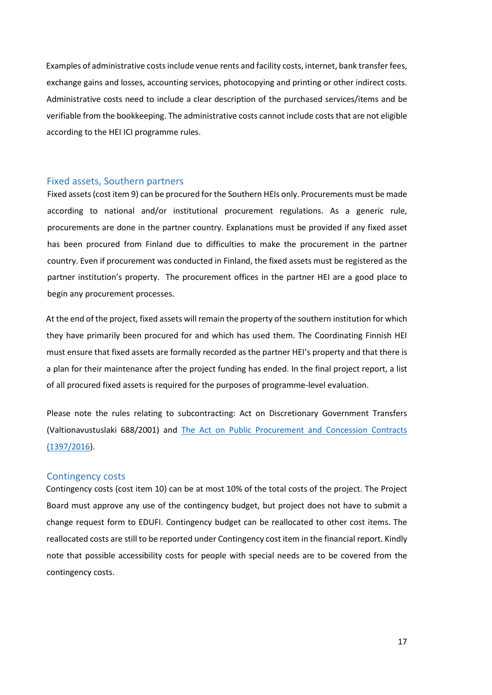Examples of administrative costs include venue rents and facility costs, internet, bank transfer fees, exchange gains and losses, accounting services, photocopying and printing or other indirect costs. Administrative costs need to include a clear description of the purchased services/items and be verifiable from the bookkeeping. The administrative costs cannot include costs that are not eligible according to the HEI ICI programme rules.

#### <span id="page-16-0"></span>Fixed assets, Southern partners

Fixed assets(cost item 9) can be procured for the Southern HEIs only. Procurements must be made according to national and/or institutional procurement regulations. As a generic rule, procurements are done in the partner country. Explanations must be provided if any fixed asset has been procured from Finland due to difficulties to make the procurement in the partner country. Even if procurement was conducted in Finland, the fixed assets must be registered as the partner institution's property. The procurement offices in the partner HEI are a good place to begin any procurement processes.

At the end of the project, fixed assets will remain the property of the southern institution for which they have primarily been procured for and which has used them. The Coordinating Finnish HEI must ensure that fixed assets are formally recorded as the partner HEI's property and that there is a plan for their maintenance after the project funding has ended. In the final project report, a list of all procured fixed assets is required for the purposes of programme-level evaluation.

Please note the rules relating to subcontracting: Act on Discretionary Government Transfers (Valtionavustuslaki 688/2001) and [The Act on Public Procurement and Concession Contracts](https://www.finlex.fi/en/laki/kaannokset/2016/en20161397)  [\(1397/2016\)](https://www.finlex.fi/en/laki/kaannokset/2016/en20161397).

#### <span id="page-16-1"></span>Contingency costs

Contingency costs (cost item 10) can be at most 10% of the total costs of the project. The Project Board must approve any use of the contingency budget, but project does not have to submit a change request form to EDUFI. Contingency budget can be reallocated to other cost items. The reallocated costs are still to be reported under Contingency cost item in the financial report. Kindly note that possible accessibility costs for people with special needs are to be covered from the contingency costs.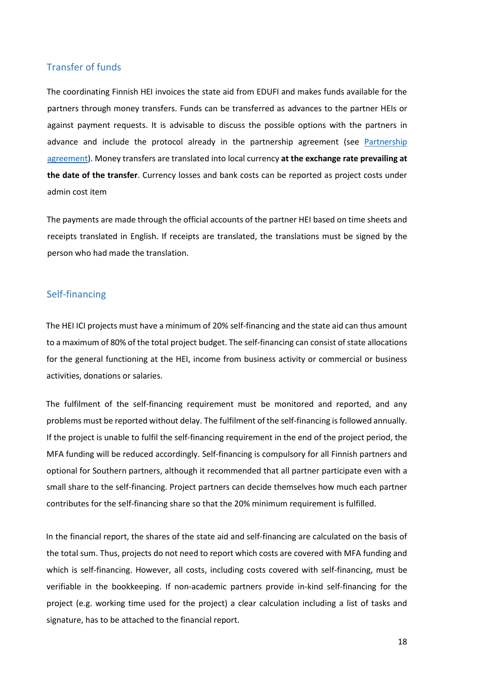#### <span id="page-17-0"></span>Transfer of funds

The coordinating Finnish HEI invoices the state aid from EDUFI and makes funds available for the partners through money transfers. Funds can be transferred as advances to the partner HEIs or against payment requests. It is advisable to discuss the possible options with the partners in advance and include the protocol already in the partnership agreement (see [Partnership](#page-3-1)  [agreement\)](#page-3-1). Money transfers are translated into local currency **at the exchange rate prevailing at the date of the transfer**. Currency losses and bank costs can be reported as project costs under admin cost item

The payments are made through the official accounts of the partner HEI based on time sheets and receipts translated in English. If receipts are translated, the translations must be signed by the person who had made the translation.

#### <span id="page-17-1"></span>Self-financing

The HEI ICI projects must have a minimum of 20% self-financing and the state aid can thus amount to a maximum of 80% of the total project budget. The self-financing can consist of state allocations for the general functioning at the HEI, income from business activity or commercial or business activities, donations or salaries.

The fulfilment of the self-financing requirement must be monitored and reported, and any problems must be reported without delay. The fulfilment of the self-financing is followed annually. If the project is unable to fulfil the self-financing requirement in the end of the project period, the MFA funding will be reduced accordingly. Self-financing is compulsory for all Finnish partners and optional for Southern partners, although it recommended that all partner participate even with a small share to the self-financing. Project partners can decide themselves how much each partner contributes for the self-financing share so that the 20% minimum requirement is fulfilled.

In the financial report, the shares of the state aid and self-financing are calculated on the basis of the total sum. Thus, projects do not need to report which costs are covered with MFA funding and which is self-financing. However, all costs, including costs covered with self-financing, must be verifiable in the bookkeeping. If non-academic partners provide in-kind self-financing for the project (e.g. working time used for the project) a clear calculation including a list of tasks and signature, has to be attached to the financial report.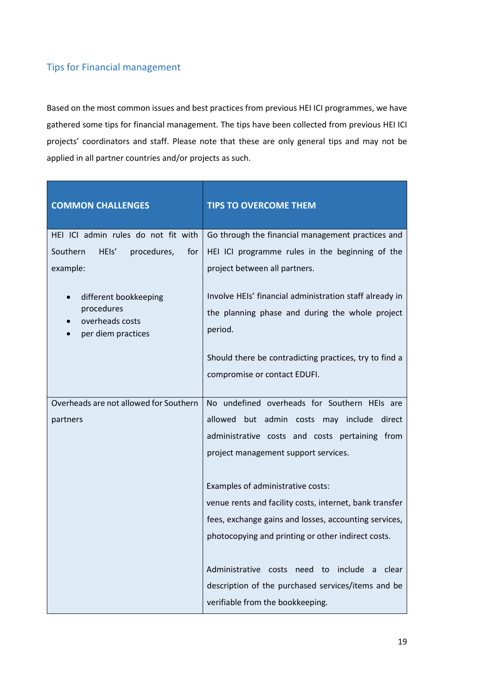# <span id="page-18-0"></span>Tips for Financial management

Based on the most common issues and best practices from previous HEI ICI programmes, we have gathered some tips for financial management. The tips have been collected from previous HEI ICI projects' coordinators and staff. Please note that these are only general tips and may not be applied in all partner countries and/or projects as such.

| <b>COMMON CHALLENGES</b>                | <b>TIPS TO OVERCOME THEM</b>                            |
|-----------------------------------------|---------------------------------------------------------|
| HEI ICI admin rules do not fit with     | Go through the financial management practices and       |
| Southern<br>HEIs'<br>procedures,<br>for | HEI ICI programme rules in the beginning of the         |
| example:                                | project between all partners.                           |
| different bookkeeping                   | Involve HEIs' financial administration staff already in |
| procedures<br>overheads costs           | the planning phase and during the whole project         |
| per diem practices                      | period.                                                 |
|                                         | Should there be contradicting practices, try to find a  |
|                                         | compromise or contact EDUFI.                            |
| Overheads are not allowed for Southern  | No undefined overheads for Southern HEIs are            |
| partners                                | allowed but admin costs may include<br>direct           |
|                                         | administrative costs and costs pertaining from          |
|                                         | project management support services.                    |
|                                         | Examples of administrative costs:                       |
|                                         | venue rents and facility costs, internet, bank transfer |
|                                         | fees, exchange gains and losses, accounting services,   |
|                                         | photocopying and printing or other indirect costs.      |
|                                         | Administrative costs need to<br>include<br>clear<br>a   |
|                                         | description of the purchased services/items and be      |
|                                         | verifiable from the bookkeeping.                        |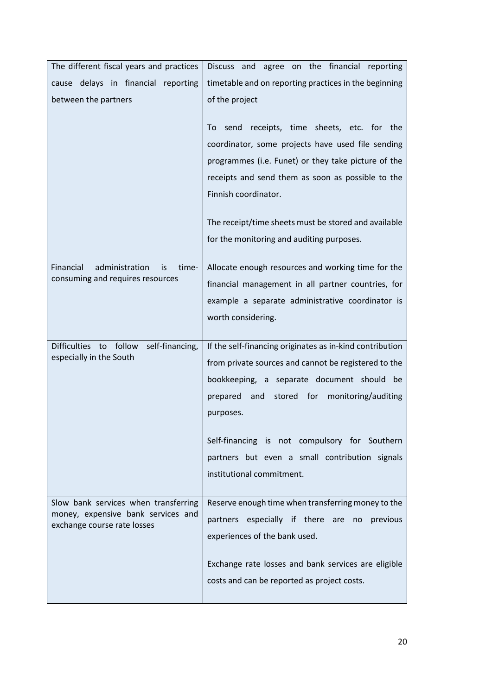| The different fiscal years and practices                                          | Discuss and agree on the financial reporting             |  |
|-----------------------------------------------------------------------------------|----------------------------------------------------------|--|
| cause delays in financial reporting                                               | timetable and on reporting practices in the beginning    |  |
| between the partners                                                              | of the project                                           |  |
|                                                                                   | receipts, time sheets, etc. for the<br>To<br>send        |  |
|                                                                                   | coordinator, some projects have used file sending        |  |
|                                                                                   | programmes (i.e. Funet) or they take picture of the      |  |
|                                                                                   | receipts and send them as soon as possible to the        |  |
|                                                                                   | Finnish coordinator.                                     |  |
|                                                                                   | The receipt/time sheets must be stored and available     |  |
|                                                                                   | for the monitoring and auditing purposes.                |  |
| Financial<br>administration<br>is<br>time-                                        | Allocate enough resources and working time for the       |  |
| consuming and requires resources                                                  | financial management in all partner countries, for       |  |
|                                                                                   | example a separate administrative coordinator is         |  |
|                                                                                   | worth considering.                                       |  |
|                                                                                   |                                                          |  |
| self-financing,<br><b>Difficulties</b><br>follow<br>to<br>especially in the South | If the self-financing originates as in-kind contribution |  |
|                                                                                   | from private sources and cannot be registered to the     |  |
|                                                                                   | bookkeeping, a separate document should be               |  |
|                                                                                   | stored<br>for<br>monitoring/auditing<br>prepared<br>and  |  |
|                                                                                   | purposes.                                                |  |
|                                                                                   | Self-financing is not compulsory for Southern            |  |
|                                                                                   | partners but even a small contribution signals           |  |
|                                                                                   | institutional commitment.                                |  |
|                                                                                   |                                                          |  |
| Slow bank services when transferring                                              | Reserve enough time when transferring money to the       |  |
| money, expensive bank services and<br>exchange course rate losses                 | partners especially if there are<br>previous<br>no       |  |
|                                                                                   | experiences of the bank used.                            |  |
|                                                                                   | Exchange rate losses and bank services are eligible      |  |
|                                                                                   | costs and can be reported as project costs.              |  |
|                                                                                   |                                                          |  |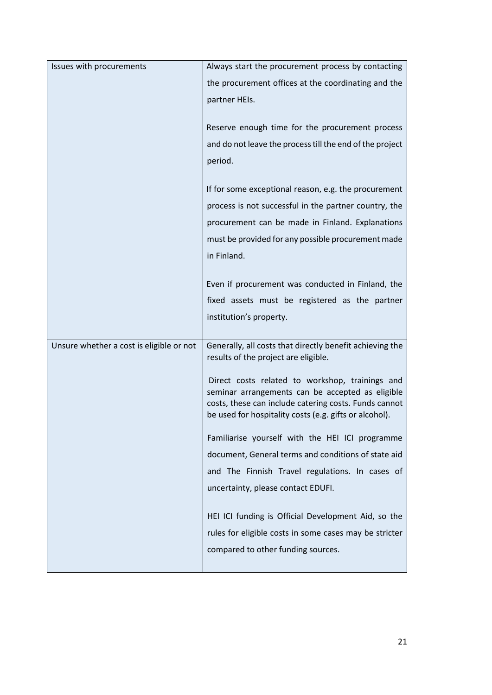| Issues with procurements                 | Always start the procurement process by contacting       |
|------------------------------------------|----------------------------------------------------------|
|                                          | the procurement offices at the coordinating and the      |
|                                          | partner HEIs.                                            |
|                                          |                                                          |
|                                          | Reserve enough time for the procurement process          |
|                                          | and do not leave the process till the end of the project |
|                                          | period.                                                  |
|                                          |                                                          |
|                                          | If for some exceptional reason, e.g. the procurement     |
|                                          | process is not successful in the partner country, the    |
|                                          | procurement can be made in Finland. Explanations         |
|                                          | must be provided for any possible procurement made       |
|                                          | in Finland.                                              |
|                                          |                                                          |
|                                          | Even if procurement was conducted in Finland, the        |
|                                          | fixed assets must be registered as the partner           |
|                                          | institution's property.                                  |
| Unsure whether a cost is eligible or not | Generally, all costs that directly benefit achieving the |
|                                          | results of the project are eligible.                     |
|                                          | Direct costs related to workshop, trainings and          |
|                                          | seminar arrangements can be accepted as eligible         |
|                                          | costs, these can include catering costs. Funds cannot    |
|                                          | be used for hospitality costs (e.g. gifts or alcohol).   |
|                                          | Familiarise yourself with the HEI ICI programme          |
|                                          | document, General terms and conditions of state aid      |
|                                          | and The Finnish Travel regulations. In cases of          |
|                                          | uncertainty, please contact EDUFI.                       |
|                                          |                                                          |
|                                          | HEI ICI funding is Official Development Aid, so the      |
|                                          | rules for eligible costs in some cases may be stricter   |
|                                          | compared to other funding sources.                       |
|                                          |                                                          |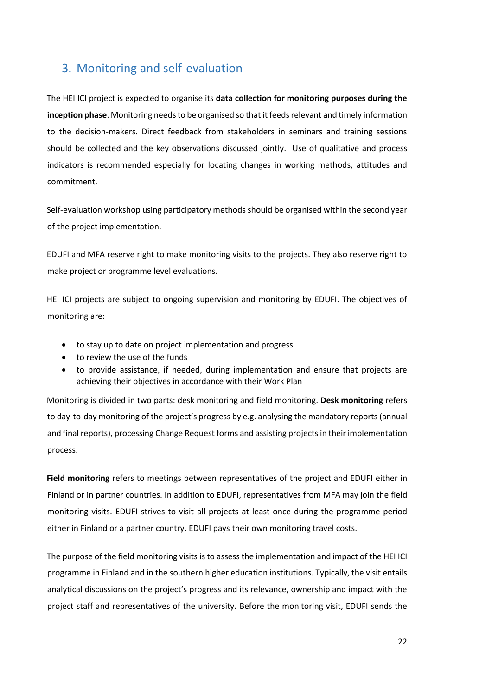# <span id="page-21-0"></span>3. Monitoring and self-evaluation

The HEI ICI project is expected to organise its **data collection for monitoring purposes during the inception phase**. Monitoring needs to be organised so that it feeds relevant and timely information to the decision-makers. Direct feedback from stakeholders in seminars and training sessions should be collected and the key observations discussed jointly. Use of qualitative and process indicators is recommended especially for locating changes in working methods, attitudes and commitment.

Self-evaluation workshop using participatory methods should be organised within the second year of the project implementation.

EDUFI and MFA reserve right to make monitoring visits to the projects. They also reserve right to make project or programme level evaluations.

HEI ICI projects are subject to ongoing supervision and monitoring by EDUFI. The objectives of monitoring are:

- to stay up to date on project implementation and progress
- to review the use of the funds
- to provide assistance, if needed, during implementation and ensure that projects are achieving their objectives in accordance with their Work Plan

Monitoring is divided in two parts: desk monitoring and field monitoring. **Desk monitoring** refers to day-to-day monitoring of the project's progress by e.g. analysing the mandatory reports (annual and final reports), processing Change Request forms and assisting projectsin their implementation process.

**Field monitoring** refers to meetings between representatives of the project and EDUFI either in Finland or in partner countries. In addition to EDUFI, representatives from MFA may join the field monitoring visits. EDUFI strives to visit all projects at least once during the programme period either in Finland or a partner country. EDUFI pays their own monitoring travel costs.

The purpose of the field monitoring visits is to assess the implementation and impact of the HEI ICI programme in Finland and in the southern higher education institutions. Typically, the visit entails analytical discussions on the project's progress and its relevance, ownership and impact with the project staff and representatives of the university. Before the monitoring visit, EDUFI sends the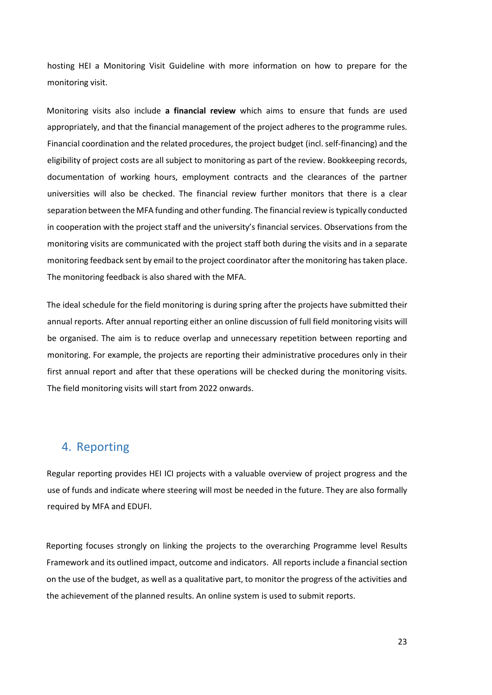hosting HEI a Monitoring Visit Guideline with more information on how to prepare for the monitoring visit.

Monitoring visits also include **a financial review** which aims to ensure that funds are used appropriately, and that the financial management of the project adheres to the programme rules. Financial coordination and the related procedures, the project budget (incl. self-financing) and the eligibility of project costs are all subject to monitoring as part of the review. Bookkeeping records, documentation of working hours, employment contracts and the clearances of the partner universities will also be checked. The financial review further monitors that there is a clear separation between the MFA funding and other funding. The financial review is typically conducted in cooperation with the project staff and the university's financial services. Observations from the monitoring visits are communicated with the project staff both during the visits and in a separate monitoring feedback sent by email to the project coordinator after the monitoring has taken place. The monitoring feedback is also shared with the MFA.

The ideal schedule for the field monitoring is during spring after the projects have submitted their annual reports. After annual reporting either an online discussion of full field monitoring visits will be organised. The aim is to reduce overlap and unnecessary repetition between reporting and monitoring. For example, the projects are reporting their administrative procedures only in their first annual report and after that these operations will be checked during the monitoring visits. The field monitoring visits will start from 2022 onwards.

# <span id="page-22-0"></span>4. Reporting

Regular reporting provides HEI ICI projects with a valuable overview of project progress and the use of funds and indicate where steering will most be needed in the future. They are also formally required by MFA and EDUFI.

Reporting focuses strongly on linking the projects to the overarching Programme level Results Framework and its outlined impact, outcome and indicators. All reports include a financial section on the use of the budget, as well as a qualitative part, to monitor the progress of the activities and the achievement of the planned results. An online system is used to submit reports.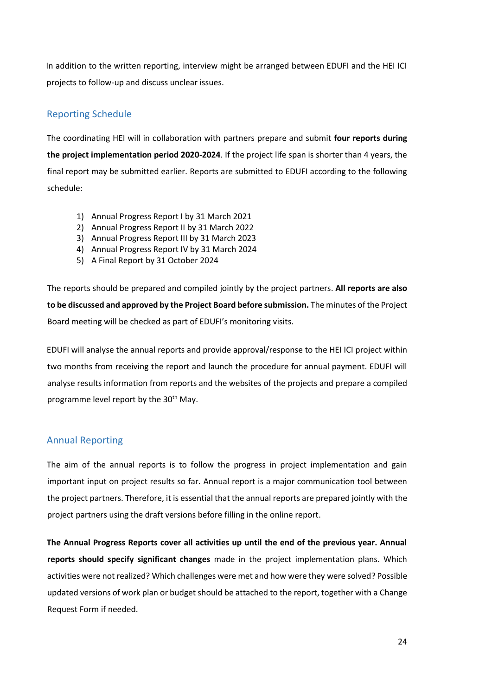In addition to the written reporting, interview might be arranged between EDUFI and the HEI ICI projects to follow-up and discuss unclear issues.

# <span id="page-23-0"></span>Reporting Schedule

The coordinating HEI will in collaboration with partners prepare and submit **four reports during the project implementation period 2020-2024**. If the project life span is shorter than 4 years, the final report may be submitted earlier. Reports are submitted to EDUFI according to the following schedule:

- 1) Annual Progress Report I by 31 March 2021
- 2) Annual Progress Report II by 31 March 2022
- 3) Annual Progress Report III by 31 March 2023
- 4) Annual Progress Report IV by 31 March 2024
- 5) A Final Report by 31 October 2024

The reports should be prepared and compiled jointly by the project partners. **All reports are also to be discussed and approved by the Project Board before submission.** The minutes of the Project Board meeting will be checked as part of EDUFI's monitoring visits.

EDUFI will analyse the annual reports and provide approval/response to the HEI ICI project within two months from receiving the report and launch the procedure for annual payment. EDUFI will analyse results information from reports and the websites of the projects and prepare a compiled programme level report by the 30<sup>th</sup> May.

## <span id="page-23-1"></span>Annual Reporting

The aim of the annual reports is to follow the progress in project implementation and gain important input on project results so far. Annual report is a major communication tool between the project partners. Therefore, it is essential that the annual reports are prepared jointly with the project partners using the draft versions before filling in the online report.

**The Annual Progress Reports cover all activities up until the end of the previous year. Annual reports should specify significant changes** made in the project implementation plans. Which activities were not realized? Which challenges were met and how were they were solved? Possible updated versions of work plan or budget should be attached to the report, together with a Change Request Form if needed.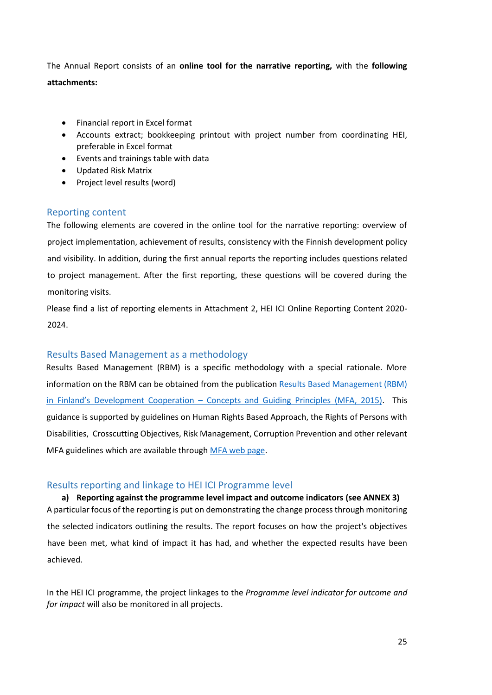The Annual Report consists of an **online tool for the narrative reporting,** with the **following attachments:**

- Financial report in Excel format
- Accounts extract; bookkeeping printout with project number from coordinating HEI, preferable in Excel format
- Events and trainings table with data
- Updated Risk Matrix
- Project level results (word)

## <span id="page-24-0"></span>Reporting content

The following elements are covered in the online tool for the narrative reporting: overview of project implementation, achievement of results, consistency with the Finnish development policy and visibility. In addition, during the first annual reports the reporting includes questions related to project management. After the first reporting, these questions will be covered during the monitoring visits.

Please find a list of reporting elements in Attachment 2, HEI ICI Online Reporting Content 2020- 2024.

## <span id="page-24-1"></span>Results Based Management as a methodology

Results Based Management (RBM) is a specific methodology with a special rationale. More information on the RBM can be obtained from the publication [Results Based Management \(RBM\)](https://um.fi/documents/35732/48132/results_based_management_rbm_in_finland%E2%80%99s_development_cooperation.pdf/b162ca1f-60f0-d07a-97f2-c86083343a8f?t=1560452756980)  in Finland's Development Cooperation – [Concepts and Guiding Principles \(MFA, 2015\).](https://um.fi/documents/35732/48132/results_based_management_rbm_in_finland%E2%80%99s_development_cooperation.pdf/b162ca1f-60f0-d07a-97f2-c86083343a8f?t=1560452756980) This guidance is supported by guidelines on Human Rights Based Approach, the Rights of Persons with Disabilities, Crosscutting Objectives, Risk Management, Corruption Prevention and other relevant MFA guidelines which are available through [MFA web page.](https://um.fi/etusivu)

## <span id="page-24-2"></span>Results reporting and linkage to HEI ICI Programme level

**a) Reporting against the programme level impact and outcome indicators (see ANNEX 3)** A particular focus of the reporting is put on demonstrating the change process through monitoring the selected indicators outlining the results. The report focuses on how the project's objectives have been met, what kind of impact it has had, and whether the expected results have been achieved.

In the HEI ICI programme, the project linkages to the *Programme level indicator for outcome and for impact* will also be monitored in all projects.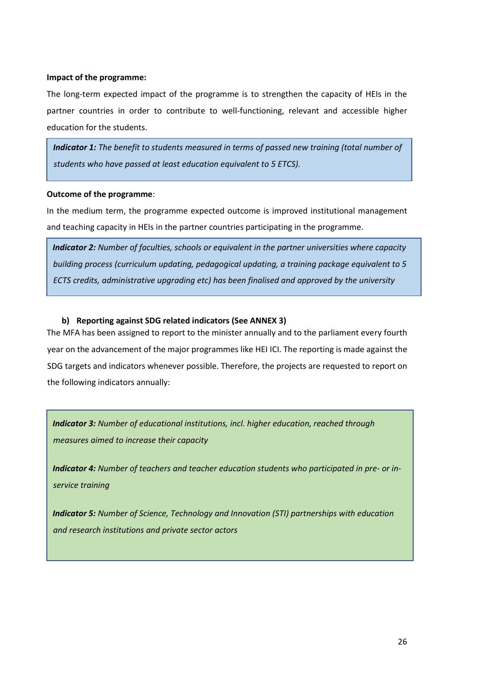#### **Impact of the programme:**

The long-term expected impact of the programme is to strengthen the capacity of HEIs in the partner countries in order to contribute to well-functioning, relevant and accessible higher education for the students.

*Indicator 1: The benefit to students measured in terms of passed new training (total number of students who have passed at least education equivalent to 5 ETCS).* 

#### **Outcome of the programme**:

*administration.*

In the medium term, the programme expected outcome is improved institutional management and teaching capacity in HEIs in the partner countries participating in the programme.

*Indicator 2: Number of faculties, schools or equivalent in the partner universities where capacity building process (curriculum updating, pedagogical updating, a training package equivalent to 5 ECTS credits, administrative upgrading etc) has been finalised and approved by the university* 

#### **b) Reporting against SDG related indicators (See ANNEX 3)**

The MFA has been assigned to report to the minister annually and to the parliament every fourth year on the advancement of the major programmes like HEI ICI. The reporting is made against the SDG targets and indicators whenever possible. Therefore, the projects are requested to report on the following indicators annually:

*Indicator 3: Number of educational institutions, incl. higher education, reached through measures aimed to increase their capacity*

*Indicator 4: Number of teachers and teacher education students who participated in pre- or inservice training*

*Indicator 5: Number of Science, Technology and Innovation (STI) partnerships with education and research institutions and private sector actors*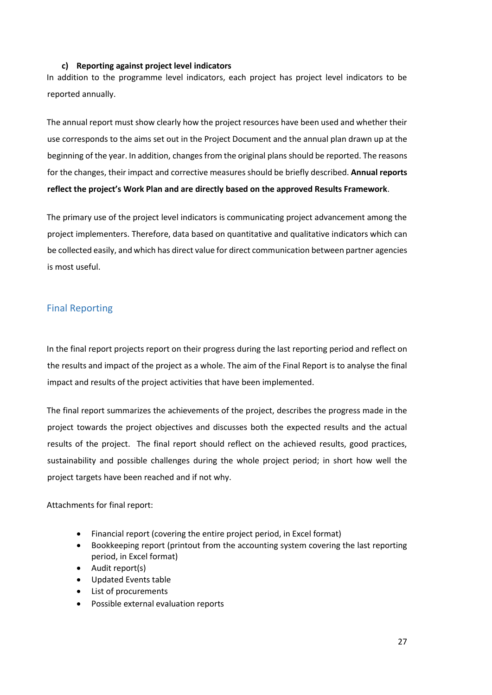#### **c) Reporting against project level indicators**

In addition to the programme level indicators, each project has project level indicators to be reported annually.

The annual report must show clearly how the project resources have been used and whether their use corresponds to the aims set out in the Project Document and the annual plan drawn up at the beginning of the year. In addition, changes from the original plans should be reported. The reasons for the changes, their impact and corrective measures should be briefly described. **Annual reports reflect the project's Work Plan and are directly based on the approved Results Framework**.

The primary use of the project level indicators is communicating project advancement among the project implementers. Therefore, data based on quantitative and qualitative indicators which can be collected easily, and which has direct value for direct communication between partner agencies is most useful.

# <span id="page-26-0"></span>Final Reporting

In the final report projects report on their progress during the last reporting period and reflect on the results and impact of the project as a whole. The aim of the Final Report is to analyse the final impact and results of the project activities that have been implemented.

The final report summarizes the achievements of the project, describes the progress made in the project towards the project objectives and discusses both the expected results and the actual results of the project. The final report should reflect on the achieved results, good practices, sustainability and possible challenges during the whole project period; in short how well the project targets have been reached and if not why.

Attachments for final report:

- Financial report (covering the entire project period, in Excel format)
- Bookkeeping report (printout from the accounting system covering the last reporting period, in Excel format)
- Audit report(s)
- Updated Events table
- List of procurements
- Possible external evaluation reports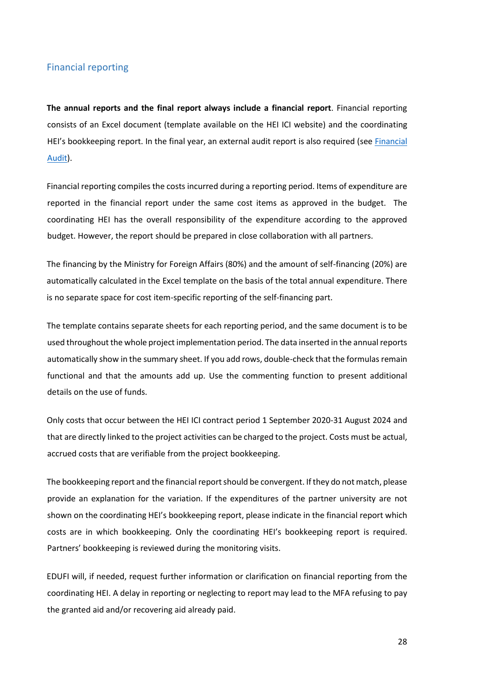#### <span id="page-27-0"></span>Financial reporting

**The annual reports and the final report always include a financial report**. Financial reporting consists of an Excel document (template available on the HEI ICI website) and the coordinating HEI's bookkeeping report. In the final year, an external audit report is also required (se[e Financial](#page-28-0)  [Audit\)](#page-28-0).

Financial reporting compiles the costs incurred during a reporting period. Items of expenditure are reported in the financial report under the same cost items as approved in the budget. The coordinating HEI has the overall responsibility of the expenditure according to the approved budget. However, the report should be prepared in close collaboration with all partners.

The financing by the Ministry for Foreign Affairs (80%) and the amount of self-financing (20%) are automatically calculated in the Excel template on the basis of the total annual expenditure. There is no separate space for cost item-specific reporting of the self-financing part.

The template contains separate sheets for each reporting period, and the same document is to be used throughout the whole project implementation period. The data inserted in the annual reports automatically show in the summary sheet. If you add rows, double-check that the formulas remain functional and that the amounts add up. Use the commenting function to present additional details on the use of funds.

Only costs that occur between the HEI ICI contract period 1 September 2020-31 August 2024 and that are directly linked to the project activities can be charged to the project. Costs must be actual, accrued costs that are verifiable from the project bookkeeping.

The bookkeeping report and the financial report should be convergent. If they do not match, please provide an explanation for the variation. If the expenditures of the partner university are not shown on the coordinating HEI's bookkeeping report, please indicate in the financial report which costs are in which bookkeeping. Only the coordinating HEI's bookkeeping report is required. Partners' bookkeeping is reviewed during the monitoring visits.

EDUFI will, if needed, request further information or clarification on financial reporting from the coordinating HEI. A delay in reporting or neglecting to report may lead to the MFA refusing to pay the granted aid and/or recovering aid already paid.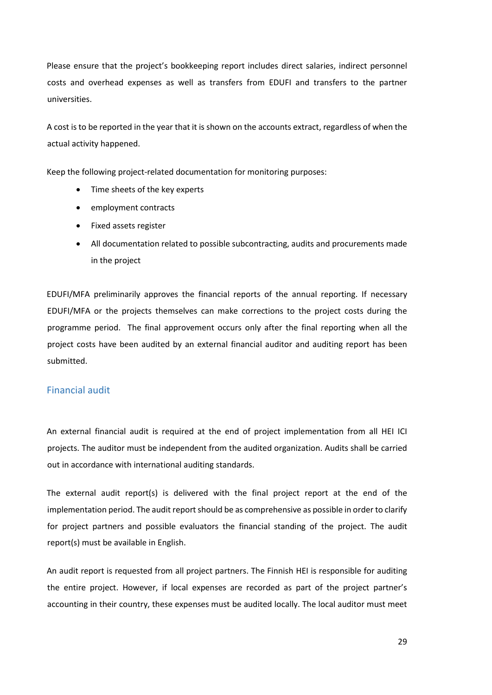Please ensure that the project's bookkeeping report includes direct salaries, indirect personnel costs and overhead expenses as well as transfers from EDUFI and transfers to the partner universities.

A cost is to be reported in the year that it is shown on the accounts extract, regardless of when the actual activity happened.

Keep the following project-related documentation for monitoring purposes:

- Time sheets of the key experts
- employment contracts
- Fixed assets register
- All documentation related to possible subcontracting, audits and procurements made in the project

EDUFI/MFA preliminarily approves the financial reports of the annual reporting. If necessary EDUFI/MFA or the projects themselves can make corrections to the project costs during the programme period. The final approvement occurs only after the final reporting when all the project costs have been audited by an external financial auditor and auditing report has been submitted.

#### <span id="page-28-0"></span>Financial audit

An external financial audit is required at the end of project implementation from all HEI ICI projects. The auditor must be independent from the audited organization. Audits shall be carried out in accordance with international auditing standards.

The external audit report(s) is delivered with the final project report at the end of the implementation period. The audit report should be as comprehensive as possible in order to clarify for project partners and possible evaluators the financial standing of the project. The audit report(s) must be available in English.

An audit report is requested from all project partners. The Finnish HEI is responsible for auditing the entire project. However, if local expenses are recorded as part of the project partner's accounting in their country, these expenses must be audited locally. The local auditor must meet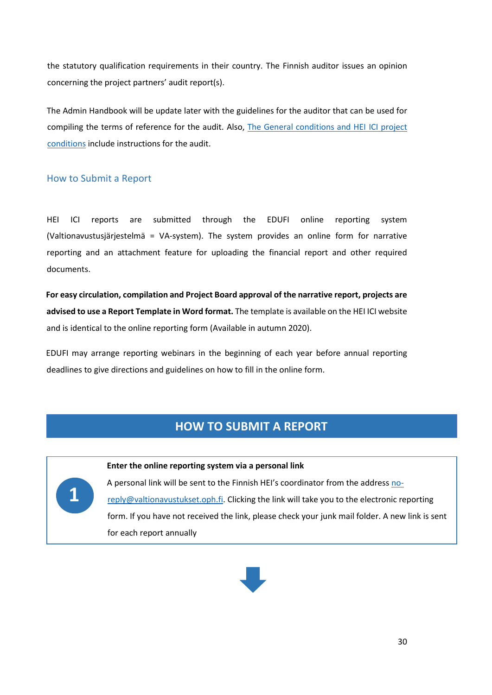the statutory qualification requirements in their country. The Finnish auditor issues an opinion concerning the project partners' audit report(s).

The Admin Handbook will be update later with the guidelines for the auditor that can be used for compiling the terms of reference for the audit. Also, [The General conditions and HEI](https://www.oph.fi/sites/default/files/documents/liite-2.-general-conditions-and-project-conditions-for-hei-ici-2020.pdf) ICI project [conditions](https://www.oph.fi/sites/default/files/documents/liite-2.-general-conditions-and-project-conditions-for-hei-ici-2020.pdf) include instructions for the audit.

## <span id="page-29-0"></span>How to Submit a Report

HEI ICI reports are submitted through the EDUFI online reporting system (Valtionavustusjärjestelmä = VA-system). The system provides an online form for narrative reporting and an attachment feature for uploading the financial report and other required documents.

**For easy circulation, compilation and Project Board approval of the narrative report, projects are advised to use a Report Template in Word format.** The template is available on the HEI ICI website and is identical to the online reporting form (Available in autumn 2020).

EDUFI may arrange reporting webinars in the beginning of each year before annual reporting deadlines to give directions and guidelines on how to fill in the online form.

**Enter the online reporting system via a personal link** 

# **HOW TO SUBMIT A REPORT**



A personal link will be sent to the Finnish HEI's coordinator from the addres[s no](mailto:no-reply@valtionavustukset.oph.fi)[reply@valtionavustukset.oph.fi.](mailto:no-reply@valtionavustukset.oph.fi) Clicking the link will take you to the electronic reporting form. If you have not received the link, please check your junk mail folder. A new link is sent for each report annually

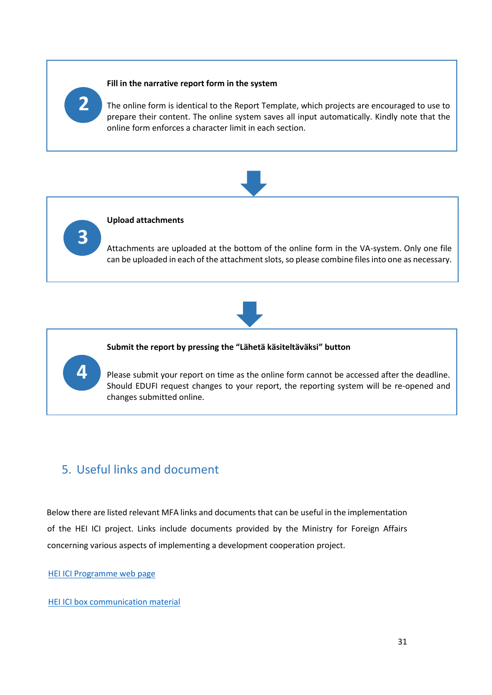#### **Fill in the narrative report form in the system**

**2**

**4**

The online form is identical to the Report Template, which projects are encouraged to use to prepare their content. The online system saves all input automatically. Kindly note that the online form enforces a character limit in each section.



**Upload attachments** Attachments are uploaded at the bottom of the online form in the VA-system. Only one file can be uploaded in each of the attachment slots, so please combine files into one as necessary. **3**



#### **Submit the report by pressing the "Lähetä käsiteltäväksi" button**

Please submit your report on time as the online form cannot be accessed after the deadline. Should EDUFI request changes to your report, the reporting system will be re-opened and changes submitted online.

# <span id="page-30-0"></span>5. Useful links and document

Below there are listed relevant MFA links and documents that can be useful in the implementation of the HEI ICI project. Links include documents provided by the Ministry for Foreign Affairs concerning various aspects of implementing a development cooperation project.

[HEI ICI Programme web page](https://www.oph.fi/en/programmes/hei-ici-programme)

[HEI ICI box communication material](https://laatikko.oph.fi/s/s672QmD3jeSiorD)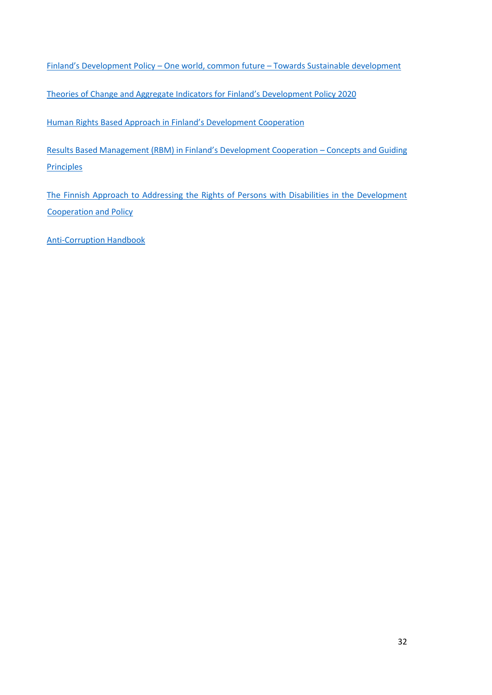Finland's Development Policy – One world, common future – [Towards Sustainable development](https://um.fi/documents/35732/0/Finlands+development+policy+2016.pdf/ebf6681d-6b17-5b27-ca88-28eae361a667?t=1561448337759)

Theories of Change and Aggregat[e Indicators for Finland's Development Policy](https://um.fi/documents/35732/0/theories-of-change-and-aggregate-indicators-for-finlands-development-policy-2020.pdf/7bc4d7f2-ffc8-5f4d-8382-43193fd887e8?t=1584355537316) 2020

[Human Rights Based Approach in Finlan](https://um.fi/documents/35732/48132/human_rights_based_approach_in_finlands_development_cooperation_-_guidance_note_2015_pdf_32_pages_118_mb.pdf/cf2c5d8d-358d-717b-991b-0a4c5a7af2a2?t=1560452724451)d's Development Cooperation

[Results Based Management \(RBM\) in Finland's D](https://um.fi/documents/35732/48132/results_based_management_rbm_in_finland%E2%80%99s_development_cooperation.pdf/b162ca1f-60f0-d07a-97f2-c86083343a8f?t=1560452756980)evelopment Cooperation – Concepts and Guiding **[Principles](https://um.fi/documents/35732/48132/results_based_management_rbm_in_finland%E2%80%99s_development_cooperation.pdf/b162ca1f-60f0-d07a-97f2-c86083343a8f?t=1560452756980)** 

The Finnish Approach to Addressing [the Rights of Persons with Disabilities in the Development](https://um.fi/documents/35732/48132/finnish_approach_persons_with_disabities_in_development_cooperation_pdf_1_mb_20_pages.pdf/b0299804-0a25-3c58-edce-3369a6c20189?t=1560451175233)  [Cooperation and Policy](https://um.fi/documents/35732/48132/finnish_approach_persons_with_disabities_in_development_cooperation_pdf_1_mb_20_pages.pdf/b0299804-0a25-3c58-edce-3369a6c20189?t=1560451175233)

[Anti-Corruption Handbook](https://cdn.accentuate.io/4372468924467/11692919193651/Anti-Corruption-Handbook-v1582264216908.pdf)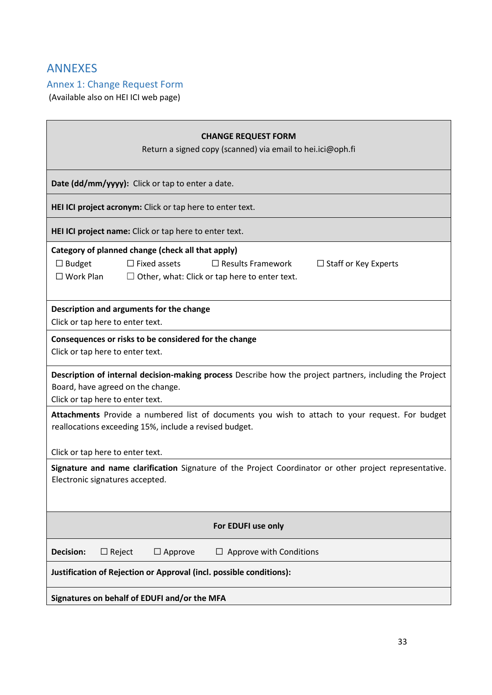# <span id="page-32-0"></span>ANNEXES

# <span id="page-32-1"></span>Annex 1: Change Request Form

(Available also on HEI ICI web page)

| <b>CHANGE REQUEST FORM</b><br>Return a signed copy (scanned) via email to hei.ici@oph.fi                                                                                                                                         |  |  |
|----------------------------------------------------------------------------------------------------------------------------------------------------------------------------------------------------------------------------------|--|--|
| Date (dd/mm/yyyy): Click or tap to enter a date.                                                                                                                                                                                 |  |  |
| HEI ICI project acronym: Click or tap here to enter text.                                                                                                                                                                        |  |  |
| HEI ICI project name: Click or tap here to enter text.                                                                                                                                                                           |  |  |
| Category of planned change (check all that apply)<br>$\Box$ Budget<br>$\Box$ Fixed assets<br>$\Box$ Results Framework<br>$\Box$ Staff or Key Experts<br>$\Box$ Work Plan<br>$\Box$ Other, what: Click or tap here to enter text. |  |  |
| Description and arguments for the change<br>Click or tap here to enter text.                                                                                                                                                     |  |  |
| Consequences or risks to be considered for the change<br>Click or tap here to enter text.                                                                                                                                        |  |  |
| Description of internal decision-making process Describe how the project partners, including the Project<br>Board, have agreed on the change.<br>Click or tap here to enter text.                                                |  |  |
| Attachments Provide a numbered list of documents you wish to attach to your request. For budget<br>reallocations exceeding 15%, include a revised budget.                                                                        |  |  |
| Click or tap here to enter text.                                                                                                                                                                                                 |  |  |
| Signature and name clarification Signature of the Project Coordinator or other project representative.<br>Electronic signatures accepted.                                                                                        |  |  |
| For EDUFI use only                                                                                                                                                                                                               |  |  |
| <b>Decision:</b><br>$\Box$ Reject<br>$\Box$ Approve<br>Approve with Conditions                                                                                                                                                   |  |  |
| Justification of Rejection or Approval (incl. possible conditions):                                                                                                                                                              |  |  |
| Signatures on behalf of EDUFI and/or the MFA                                                                                                                                                                                     |  |  |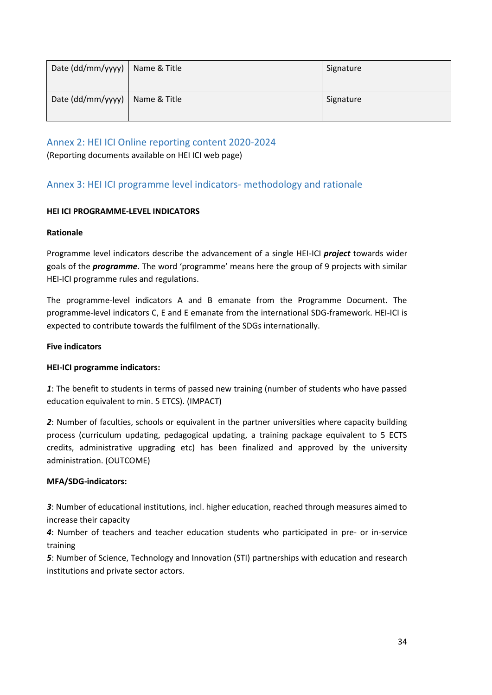| Date (dd/mm/yyyy)                | Name & Title | Signature |
|----------------------------------|--------------|-----------|
| Date (dd/mm/yyyy)   Name & Title |              | Signature |

<span id="page-33-0"></span>Annex 2: HEI ICI Online reporting content 2020-2024

(Reporting documents available on HEI ICI web page)

# <span id="page-33-1"></span>Annex 3: HEI ICI programme level indicators- methodology and rationale

#### **HEI ICI PROGRAMME-LEVEL INDICATORS**

#### **Rationale**

Programme level indicators describe the advancement of a single HEI-ICI *project* towards wider goals of the *programme*. The word 'programme' means here the group of 9 projects with similar HEI-ICI programme rules and regulations.

The programme-level indicators A and B emanate from the Programme Document. The programme-level indicators C, E and E emanate from the international SDG-framework. HEI-ICI is expected to contribute towards the fulfilment of the SDGs internationally.

#### **Five indicators**

## **HEI-ICI programme indicators:**

*1*: The benefit to students in terms of passed new training (number of students who have passed education equivalent to min. 5 ETCS). (IMPACT)

*2*: Number of faculties, schools or equivalent in the partner universities where capacity building process (curriculum updating, pedagogical updating, a training package equivalent to 5 ECTS credits, administrative upgrading etc) has been finalized and approved by the university administration. (OUTCOME)

#### **MFA/SDG-indicators:**

*3*: Number of educational institutions, incl. higher education, reached through measures aimed to increase their capacity

*4*: Number of teachers and teacher education students who participated in pre- or in-service training

*5*: Number of Science, Technology and Innovation (STI) partnerships with education and research institutions and private sector actors.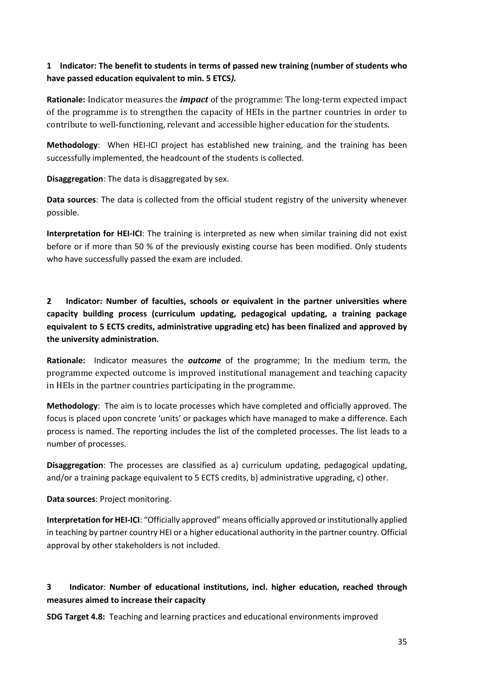# **1 Indicator: The benefit to students in terms of passed new training (number of students who have passed education equivalent to min. 5 ETCS***).*

**Rationale:** Indicator measures the *impact* of the programme: The long-term expected impact of the programme is to strengthen the capacity of HEIs in the partner countries in order to contribute to well-functioning, relevant and accessible higher education for the students.

**Methodology**: When HEI-ICI project has established new training, and the training has been successfully implemented, the headcount of the students is collected.

**Disaggregation**: The data is disaggregated by sex.

**Data sources**: The data is collected from the official student registry of the university whenever possible.

**Interpretation for HEI-ICI**: The training is interpreted as new when similar training did not exist before or if more than 50 % of the previously existing course has been modified. Only students who have successfully passed the exam are included.

**2 Indicator: Number of faculties, schools or equivalent in the partner universities where capacity building process (curriculum updating, pedagogical updating, a training package equivalent to 5 ECTS credits, administrative upgrading etc) has been finalized and approved by the university administration.**

**Rationale:** Indicator measures the *outcome* of the programme; In the medium term, the programme expected outcome is improved institutional management and teaching capacity in HEIs in the partner countries participating in the programme.

**Methodology**: The aim is to locate processes which have completed and officially approved. The focus is placed upon concrete 'units' or packages which have managed to make a difference. Each process is named. The reporting includes the list of the completed processes. The list leads to a number of processes.

**Disaggregation**: The processes are classified as a) curriculum updating, pedagogical updating, and/or a training package equivalent to 5 ECTS credits, b) administrative upgrading, c) other.

**Data sources**: Project monitoring.

**Interpretation for HEI-ICI**: "Officially approved" means officially approved or institutionally applied in teaching by partner country HEI or a higher educational authority in the partner country. Official approval by other stakeholders is not included.

# **3 Indicator**: **Number of educational institutions, incl. higher education, reached through measures aimed to increase their capacity**

**SDG Target 4.8:** Teaching and learning practices and educational environments improved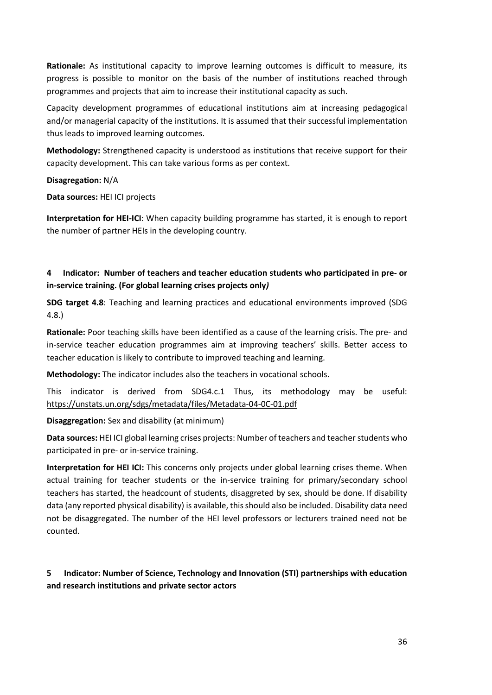**Rationale:** As institutional capacity to improve learning outcomes is difficult to measure, its progress is possible to monitor on the basis of the number of institutions reached through programmes and projects that aim to increase their institutional capacity as such.

Capacity development programmes of educational institutions aim at increasing pedagogical and/or managerial capacity of the institutions. It is assumed that their successful implementation thus leads to improved learning outcomes.

**Methodology:** Strengthened capacity is understood as institutions that receive support for their capacity development. This can take various forms as per context.

#### **Disagregation:** N/A

**Data sources:** HEI ICI projects

**Interpretation for HEI-ICI**: When capacity building programme has started, it is enough to report the number of partner HEIs in the developing country.

## **4 Indicator: Number of teachers and teacher education students who participated in pre- or in-service training. (For global learning crises projects only***)*

**SDG target 4.8**: Teaching and learning practices and educational environments improved (SDG 4.8.)

**Rationale:** Poor teaching skills have been identified as a cause of the learning crisis. The pre- and in-service teacher education programmes aim at improving teachers' skills. Better access to teacher education is likely to contribute to improved teaching and learning.

**Methodology:** The indicator includes also the teachers in vocational schools.

This indicator is derived from SDG4.c.1 Thus, its methodology may be useful: https://unstats.un.org/sdgs/metadata/files/Metadata-04-0C-01.pdf

**Disaggregation:** Sex and disability (at minimum)

**Data sources:** HEI ICI global learning crises projects: Number of teachers and teacher students who participated in pre- or in-service training.

**Interpretation for HEI ICI:** This concerns only projects under global learning crises theme. When actual training for teacher students or the in-service training for primary/secondary school teachers has started, the headcount of students, disaggreted by sex, should be done. If disability data (any reported physical disability) is available, this should also be included. Disability data need not be disaggregated. The number of the HEI level professors or lecturers trained need not be counted.

# **5 Indicator: Number of Science, Technology and Innovation (STI) partnerships with education and research institutions and private sector actors**